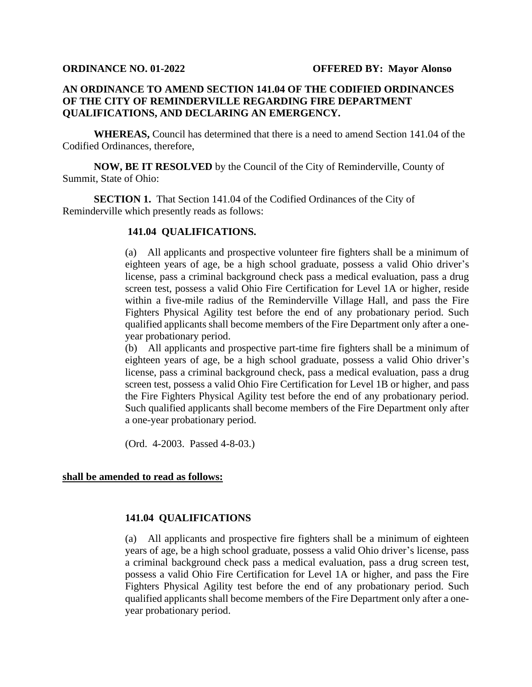## **AN ORDINANCE TO AMEND SECTION 141.04 OF THE CODIFIED ORDINANCES OF THE CITY OF REMINDERVILLE REGARDING FIRE DEPARTMENT QUALIFICATIONS, AND DECLARING AN EMERGENCY.**

**WHEREAS,** Council has determined that there is a need to amend Section 141.04 of the Codified Ordinances, therefore,

**NOW, BE IT RESOLVED** by the Council of the City of Reminderville, County of Summit, State of Ohio:

**SECTION 1.** That Section 141.04 of the Codified Ordinances of the City of Reminderville which presently reads as follows:

## **141.04 QUALIFICATIONS.**

(a) All applicants and prospective volunteer fire fighters shall be a minimum of eighteen years of age, be a high school graduate, possess a valid Ohio driver's license, pass a criminal background check pass a medical evaluation, pass a drug screen test, possess a valid Ohio Fire Certification for Level 1A or higher, reside within a five-mile radius of the Reminderville Village Hall, and pass the Fire Fighters Physical Agility test before the end of any probationary period. Such qualified applicants shall become members of the Fire Department only after a oneyear probationary period.

(b) All applicants and prospective part-time fire fighters shall be a minimum of eighteen years of age, be a high school graduate, possess a valid Ohio driver's license, pass a criminal background check, pass a medical evaluation, pass a drug screen test, possess a valid Ohio Fire Certification for Level 1B or higher, and pass the Fire Fighters Physical Agility test before the end of any probationary period. Such qualified applicants shall become members of the Fire Department only after a one-year probationary period.

(Ord. 4-2003. Passed 4-8-03.)

## **shall be amended to read as follows:**

## **141.04 QUALIFICATIONS**

(a) All applicants and prospective fire fighters shall be a minimum of eighteen years of age, be a high school graduate, possess a valid Ohio driver's license, pass a criminal background check pass a medical evaluation, pass a drug screen test, possess a valid Ohio Fire Certification for Level 1A or higher, and pass the Fire Fighters Physical Agility test before the end of any probationary period. Such qualified applicants shall become members of the Fire Department only after a oneyear probationary period.